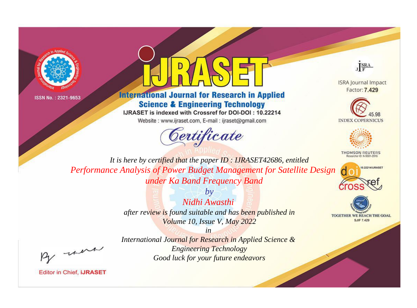



## **International Journal for Research in Applied Science & Engineering Technology**

IJRASET is indexed with Crossref for DOI-DOI: 10.22214

Website: www.ijraset.com, E-mail: ijraset@gmail.com



JERA

**ISRA Journal Impact** Factor: 7.429





**THOMSON REUTERS** 



TOGETHER WE REACH THE GOAL **SJIF 7.429** 

It is here by certified that the paper ID: IJRASET42686, entitled Performance Analysis of Power Budget Management for Satellite Design under Ka Band Frequency Band

> $b\nu$ Nidhi Awasthi after review is found suitable and has been published in Volume 10, Issue V, May 2022

were

International Journal for Research in Applied Science & **Engineering Technology** Good luck for your future endeavors

 $in$ 

**Editor in Chief, IJRASET**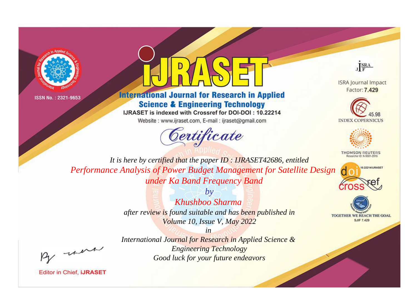



## **International Journal for Research in Applied Science & Engineering Technology**

IJRASET is indexed with Crossref for DOI-DOI: 10.22214

Website: www.ijraset.com, E-mail: ijraset@gmail.com



JERA

**ISRA Journal Impact** Factor: 7.429





**THOMSON REUTERS** 



TOGETHER WE REACH THE GOAL **SJIF 7.429** 

It is here by certified that the paper ID: IJRASET42686, entitled Performance Analysis of Power Budget Management for Satellite Design under Ka Band Frequency Band

> $b\nu$ Khushboo Sharma after review is found suitable and has been published in Volume 10, Issue V, May 2022

were

International Journal for Research in Applied Science & **Engineering Technology** Good luck for your future endeavors

 $in$ 

**Editor in Chief, IJRASET**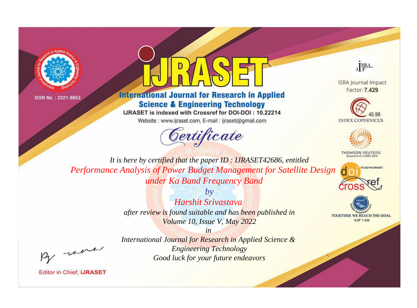



## **International Journal for Research in Applied Science & Engineering Technology**

IJRASET is indexed with Crossref for DOI-DOI: 10.22214

Website: www.ijraset.com, E-mail: ijraset@gmail.com



JERA

**ISRA Journal Impact** Factor: 7.429





**THOMSON REUTERS** 



TOGETHER WE REACH THE GOAL **SJIF 7.429** 

It is here by certified that the paper ID: IJRASET42686, entitled Performance Analysis of Power Budget Management for Satellite Design under Ka Band Frequency Band

> $b\nu$ Harshit Srivastava after review is found suitable and has been published in Volume 10, Issue V, May 2022

were

International Journal for Research in Applied Science & **Engineering Technology** Good luck for your future endeavors

 $in$ 

**Editor in Chief, IJRASET**